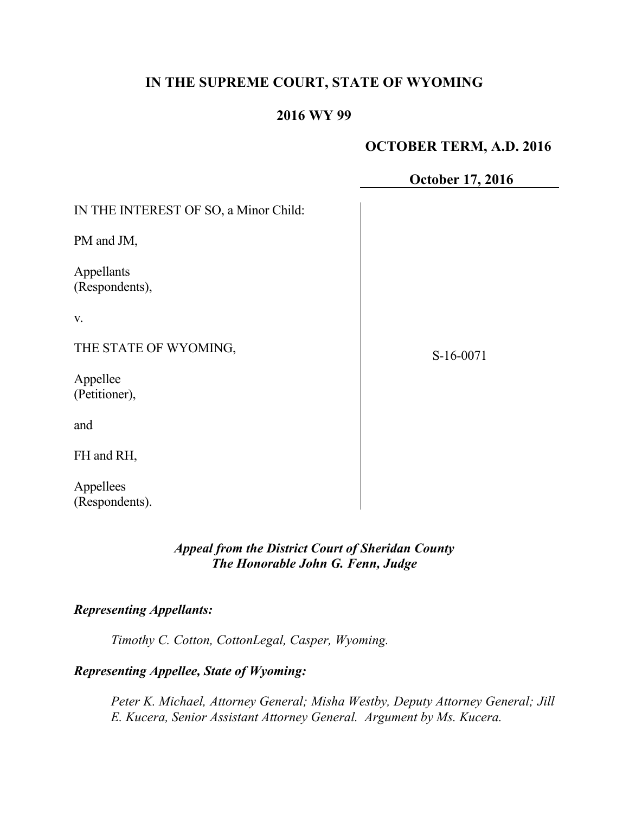# **IN THE SUPREME COURT, STATE OF WYOMING**

## **2016 WY 99**

## **OCTOBER TERM, A.D. 2016**

**October 17, 2016**

IN THE INTEREST OF SO, a Minor Child:

PM and JM,

Appellants (Respondents),

v.

THE STATE OF WYOMING,

Appellee (Petitioner),

and

FH and RH,

Appellees (Respondents). S-16-0071

*Appeal from the District Court of Sheridan County The Honorable John G. Fenn, Judge*

## *Representing Appellants:*

*Timothy C. Cotton, CottonLegal, Casper, Wyoming.*

### *Representing Appellee, State of Wyoming:*

*Peter K. Michael, Attorney General; Misha Westby, Deputy Attorney General; Jill E. Kucera, Senior Assistant Attorney General. Argument by Ms. Kucera.*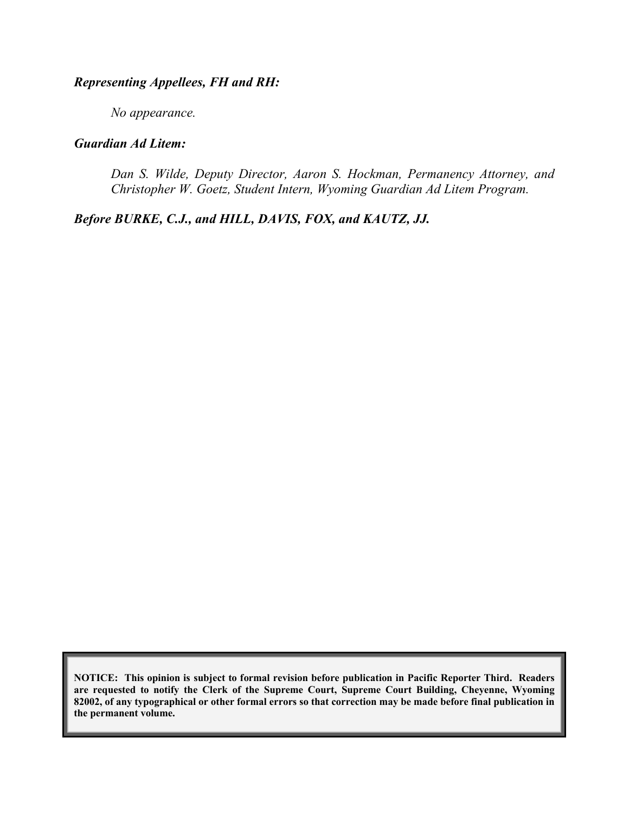## *Representing Appellees, FH and RH:*

*No appearance.*

## *Guardian Ad Litem:*

*Dan S. Wilde, Deputy Director, Aaron S. Hockman, Permanency Attorney, and Christopher W. Goetz, Student Intern, Wyoming Guardian Ad Litem Program.*

*Before BURKE, C.J., and HILL, DAVIS, FOX, and KAUTZ, JJ.*

**NOTICE: This opinion is subject to formal revision before publication in Pacific Reporter Third. Readers are requested to notify the Clerk of the Supreme Court, Supreme Court Building, Cheyenne, Wyoming 82002, of any typographical or other formal errors so that correction may be made before final publication in the permanent volume.**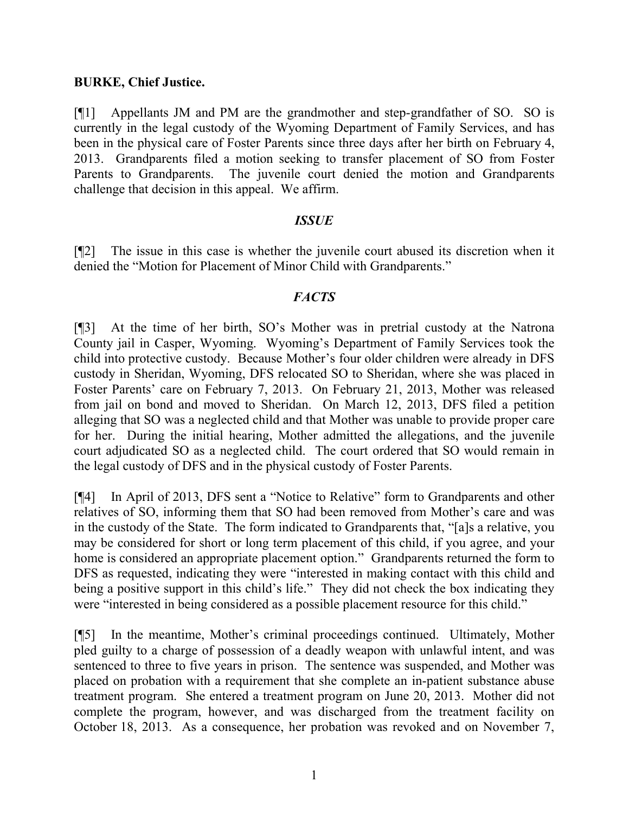### **BURKE, Chief Justice.**

[¶1] Appellants JM and PM are the grandmother and step-grandfather of SO. SO is currently in the legal custody of the Wyoming Department of Family Services, and has been in the physical care of Foster Parents since three days after her birth on February 4, 2013. Grandparents filed a motion seeking to transfer placement of SO from Foster Parents to Grandparents. The juvenile court denied the motion and Grandparents challenge that decision in this appeal. We affirm.

### *ISSUE*

[¶2] The issue in this case is whether the juvenile court abused its discretion when it denied the "Motion for Placement of Minor Child with Grandparents."

### *FACTS*

[¶3] At the time of her birth, SO's Mother was in pretrial custody at the Natrona County jail in Casper, Wyoming. Wyoming's Department of Family Services took the child into protective custody. Because Mother's four older children were already in DFS custody in Sheridan, Wyoming, DFS relocated SO to Sheridan, where she was placed in Foster Parents' care on February 7, 2013. On February 21, 2013, Mother was released from jail on bond and moved to Sheridan. On March 12, 2013, DFS filed a petition alleging that SO was a neglected child and that Mother was unable to provide proper care for her. During the initial hearing, Mother admitted the allegations, and the juvenile court adjudicated SO as a neglected child. The court ordered that SO would remain in the legal custody of DFS and in the physical custody of Foster Parents.

[¶4] In April of 2013, DFS sent a "Notice to Relative" form to Grandparents and other relatives of SO, informing them that SO had been removed from Mother's care and was in the custody of the State. The form indicated to Grandparents that, "[a]s a relative, you may be considered for short or long term placement of this child, if you agree, and your home is considered an appropriate placement option." Grandparents returned the form to DFS as requested, indicating they were "interested in making contact with this child and being a positive support in this child's life." They did not check the box indicating they were "interested in being considered as a possible placement resource for this child."

[¶5] In the meantime, Mother's criminal proceedings continued. Ultimately, Mother pled guilty to a charge of possession of a deadly weapon with unlawful intent, and was sentenced to three to five years in prison. The sentence was suspended, and Mother was placed on probation with a requirement that she complete an in-patient substance abuse treatment program. She entered a treatment program on June 20, 2013. Mother did not complete the program, however, and was discharged from the treatment facility on October 18, 2013. As a consequence, her probation was revoked and on November 7,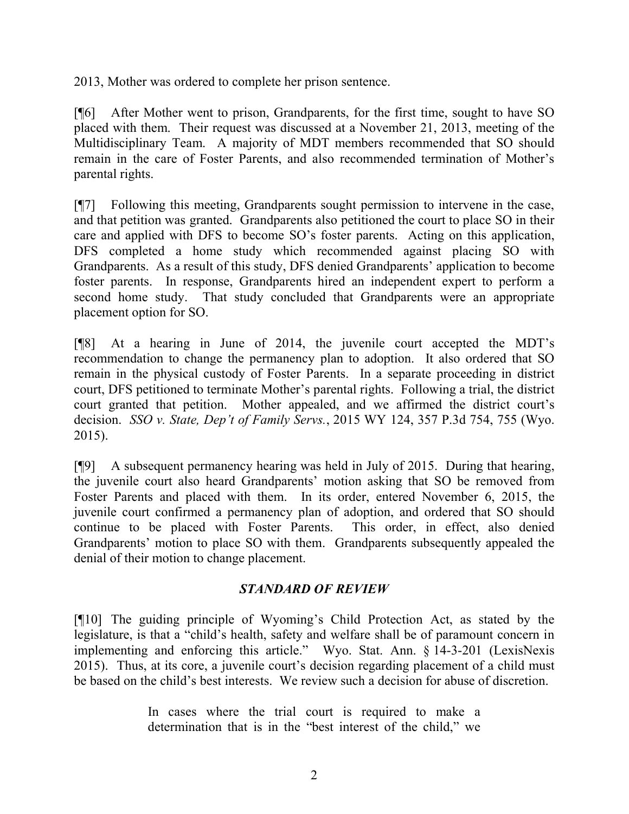2013, Mother was ordered to complete her prison sentence.

[¶6] After Mother went to prison, Grandparents, for the first time, sought to have SO placed with them. Their request was discussed at a November 21, 2013, meeting of the Multidisciplinary Team. A majority of MDT members recommended that SO should remain in the care of Foster Parents, and also recommended termination of Mother's parental rights.

[¶7] Following this meeting, Grandparents sought permission to intervene in the case, and that petition was granted. Grandparents also petitioned the court to place SO in their care and applied with DFS to become SO's foster parents. Acting on this application, DFS completed a home study which recommended against placing SO with Grandparents. As a result of this study, DFS denied Grandparents' application to become foster parents. In response, Grandparents hired an independent expert to perform a second home study. That study concluded that Grandparents were an appropriate placement option for SO.

[¶8] At a hearing in June of 2014, the juvenile court accepted the MDT's recommendation to change the permanency plan to adoption. It also ordered that SO remain in the physical custody of Foster Parents. In a separate proceeding in district court, DFS petitioned to terminate Mother's parental rights. Following a trial, the district court granted that petition. Mother appealed, and we affirmed the district court's decision. *SSO v. State, Dep't of Family Servs.*, 2015 WY 124, 357 P.3d 754, 755 (Wyo. 2015).

[¶9] A subsequent permanency hearing was held in July of 2015. During that hearing, the juvenile court also heard Grandparents' motion asking that SO be removed from Foster Parents and placed with them. In its order, entered November 6, 2015, the juvenile court confirmed a permanency plan of adoption, and ordered that SO should continue to be placed with Foster Parents. This order, in effect, also denied Grandparents' motion to place SO with them. Grandparents subsequently appealed the denial of their motion to change placement.

## *STANDARD OF REVIEW*

[¶10] The guiding principle of Wyoming's Child Protection Act, as stated by the legislature, is that a "child's health, safety and welfare shall be of paramount concern in implementing and enforcing this article." Wyo. Stat. Ann. § 14-3-201 (LexisNexis 2015). Thus, at its core, a juvenile court's decision regarding placement of a child must be based on the child's best interests. We review such a decision for abuse of discretion.

> In cases where the trial court is required to make a determination that is in the "best interest of the child," we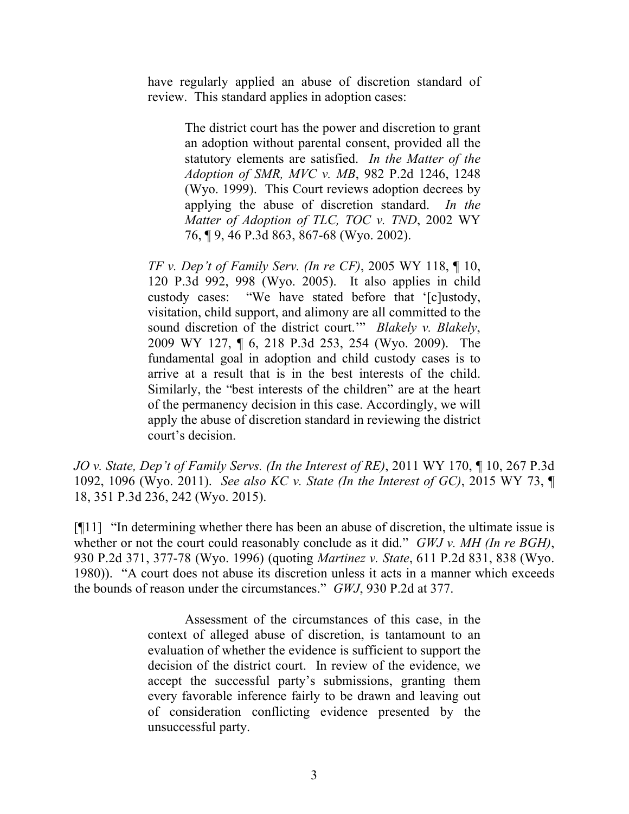have regularly applied an abuse of discretion standard of review. This standard applies in adoption cases:

> The district court has the power and discretion to grant an adoption without parental consent, provided all the statutory elements are satisfied. *In the Matter of the Adoption of SMR, MVC v. MB*, 982 P.2d 1246, 1248 (Wyo. 1999). This Court reviews adoption decrees by applying the abuse of discretion standard. *In the Matter of Adoption of TLC, TOC v. TND*, 2002 WY 76, ¶ 9, 46 P.3d 863, 867-68 (Wyo. 2002).

*TF v. Dep't of Family Serv. (In re CF)*, 2005 WY 118, ¶ 10, 120 P.3d 992, 998 (Wyo. 2005). It also applies in child custody cases: "We have stated before that '[c]ustody, visitation, child support, and alimony are all committed to the sound discretion of the district court.'" *Blakely v. Blakely*, 2009 WY 127, ¶ 6, 218 P.3d 253, 254 (Wyo. 2009). The fundamental goal in adoption and child custody cases is to arrive at a result that is in the best interests of the child. Similarly, the "best interests of the children" are at the heart of the permanency decision in this case. Accordingly, we will apply the abuse of discretion standard in reviewing the district court's decision.

*JO v. State, Dep't of Family Servs. (In the Interest of RE)*, 2011 WY 170, ¶ 10, 267 P.3d 1092, 1096 (Wyo. 2011). *See also KC v. State (In the Interest of GC)*, 2015 WY 73, ¶ 18, 351 P.3d 236, 242 (Wyo. 2015).

[¶11] "In determining whether there has been an abuse of discretion, the ultimate issue is whether or not the court could reasonably conclude as it did." *GWJ v. MH (In re BGH)*, 930 P.2d 371, 377-78 (Wyo. 1996) (quoting *Martinez v. State*, 611 P.2d 831, 838 (Wyo. 1980)). "A court does not abuse its discretion unless it acts in a manner which exceeds the bounds of reason under the circumstances." *GWJ*, 930 P.2d at 377.

> Assessment of the circumstances of this case, in the context of alleged abuse of discretion, is tantamount to an evaluation of whether the evidence is sufficient to support the decision of the district court. In review of the evidence, we accept the successful party's submissions, granting them every favorable inference fairly to be drawn and leaving out of consideration conflicting evidence presented by the unsuccessful party.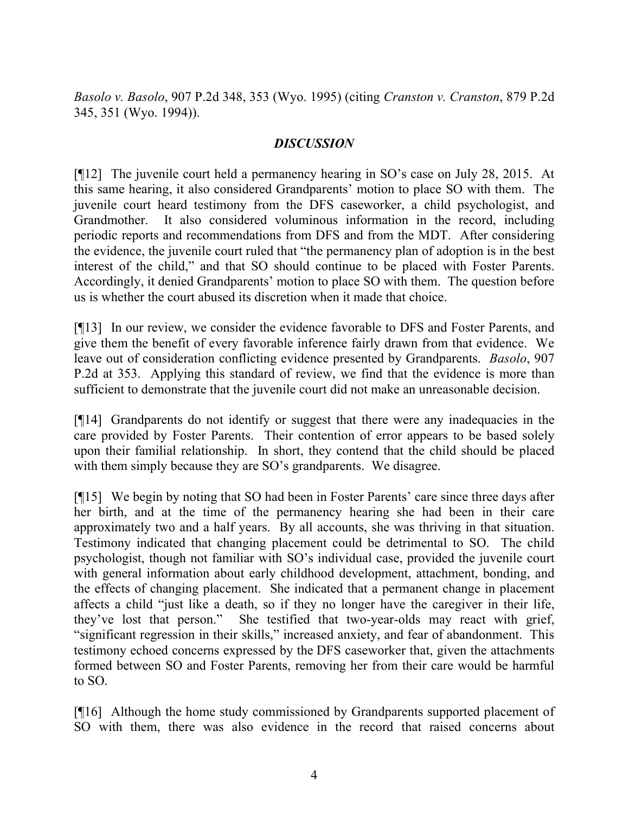*Basolo v. Basolo*, 907 P.2d 348, 353 (Wyo. 1995) (citing *Cranston v. Cranston*, 879 P.2d 345, 351 (Wyo. 1994)).

### *DISCUSSION*

[¶12] The juvenile court held a permanency hearing in SO's case on July 28, 2015. At this same hearing, it also considered Grandparents' motion to place SO with them. The juvenile court heard testimony from the DFS caseworker, a child psychologist, and Grandmother. It also considered voluminous information in the record, including periodic reports and recommendations from DFS and from the MDT. After considering the evidence, the juvenile court ruled that "the permanency plan of adoption is in the best interest of the child," and that SO should continue to be placed with Foster Parents. Accordingly, it denied Grandparents' motion to place SO with them. The question before us is whether the court abused its discretion when it made that choice.

[¶13] In our review, we consider the evidence favorable to DFS and Foster Parents, and give them the benefit of every favorable inference fairly drawn from that evidence. We leave out of consideration conflicting evidence presented by Grandparents. *Basolo*, 907 P.2d at 353. Applying this standard of review, we find that the evidence is more than sufficient to demonstrate that the juvenile court did not make an unreasonable decision.

[¶14] Grandparents do not identify or suggest that there were any inadequacies in the care provided by Foster Parents. Their contention of error appears to be based solely upon their familial relationship. In short, they contend that the child should be placed with them simply because they are SO's grandparents. We disagree.

[¶15] We begin by noting that SO had been in Foster Parents' care since three days after her birth, and at the time of the permanency hearing she had been in their care approximately two and a half years. By all accounts, she was thriving in that situation. Testimony indicated that changing placement could be detrimental to SO. The child psychologist, though not familiar with SO's individual case, provided the juvenile court with general information about early childhood development, attachment, bonding, and the effects of changing placement. She indicated that a permanent change in placement affects a child "just like a death, so if they no longer have the caregiver in their life, they've lost that person." She testified that two-year-olds may react with grief, "significant regression in their skills," increased anxiety, and fear of abandonment. This testimony echoed concerns expressed by the DFS caseworker that, given the attachments formed between SO and Foster Parents, removing her from their care would be harmful to SO.

[¶16] Although the home study commissioned by Grandparents supported placement of SO with them, there was also evidence in the record that raised concerns about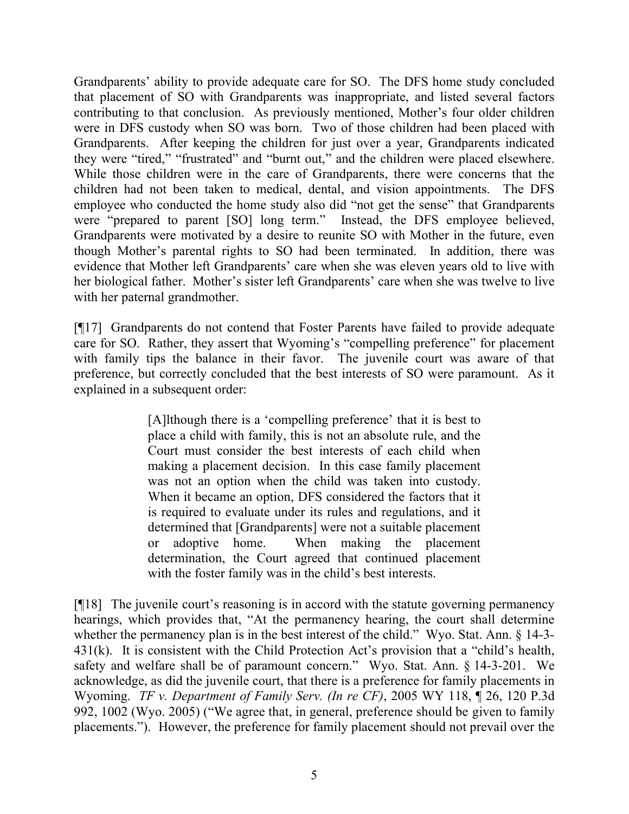Grandparents' ability to provide adequate care for SO. The DFS home study concluded that placement of SO with Grandparents was inappropriate, and listed several factors contributing to that conclusion. As previously mentioned, Mother's four older children were in DFS custody when SO was born. Two of those children had been placed with Grandparents. After keeping the children for just over a year, Grandparents indicated they were "tired," "frustrated" and "burnt out," and the children were placed elsewhere. While those children were in the care of Grandparents, there were concerns that the children had not been taken to medical, dental, and vision appointments. The DFS employee who conducted the home study also did "not get the sense" that Grandparents were "prepared to parent [SO] long term." Instead, the DFS employee believed, Grandparents were motivated by a desire to reunite SO with Mother in the future, even though Mother's parental rights to SO had been terminated. In addition, there was evidence that Mother left Grandparents' care when she was eleven years old to live with her biological father. Mother's sister left Grandparents' care when she was twelve to live with her paternal grandmother.

[¶17] Grandparents do not contend that Foster Parents have failed to provide adequate care for SO. Rather, they assert that Wyoming's "compelling preference" for placement with family tips the balance in their favor. The juvenile court was aware of that preference, but correctly concluded that the best interests of SO were paramount. As it explained in a subsequent order:

> [A]lthough there is a 'compelling preference' that it is best to place a child with family, this is not an absolute rule, and the Court must consider the best interests of each child when making a placement decision. In this case family placement was not an option when the child was taken into custody. When it became an option, DFS considered the factors that it is required to evaluate under its rules and regulations, and it determined that [Grandparents] were not a suitable placement or adoptive home. When making the placement determination, the Court agreed that continued placement with the foster family was in the child's best interests.

[¶18] The juvenile court's reasoning is in accord with the statute governing permanency hearings, which provides that, "At the permanency hearing, the court shall determine whether the permanency plan is in the best interest of the child." Wyo. Stat. Ann. § 14-3-431(k). It is consistent with the Child Protection Act's provision that a "child's health, safety and welfare shall be of paramount concern." Wyo. Stat. Ann. § 14-3-201. We acknowledge, as did the juvenile court, that there is a preference for family placements in Wyoming. *TF v. Department of Family Serv. (In re CF)*, 2005 WY 118, ¶ 26, 120 P.3d 992, 1002 (Wyo. 2005) ("We agree that, in general, preference should be given to family placements."). However, the preference for family placement should not prevail over the